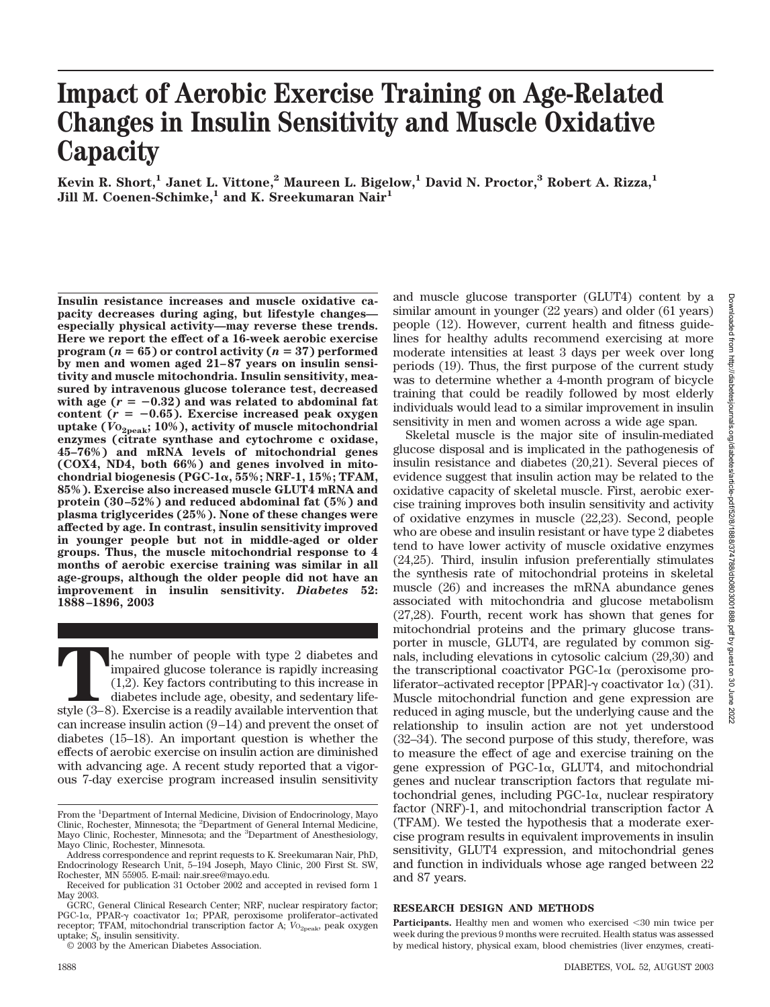# **Impact of Aerobic Exercise Training on Age-Related Changes in Insulin Sensitivity and Muscle Oxidative Capacity**

**Kevin R. Short,1 Janet L. Vittone,2 Maureen L. Bigelow,1 David N. Proctor,3 Robert A. Rizza,1 Jill M. Coenen-Schimke,1 and K. Sreekumaran Nair1**

**Insulin resistance increases and muscle oxidative capacity decreases during aging, but lifestyle changes especially physical activity—may reverse these trends. Here we report the effect of a 16-week aerobic exercise program (** $n = 65$ **) or control activity (** $n = 37$ **) performed by men and women aged 21–87 years on insulin sensitivity and muscle mitochondria. Insulin sensitivity, measured by intravenous glucose tolerance test, decreased** with age  $(r = -0.32)$  and was related to abdominal fat content  $(r = -0.65)$ . Exercise increased peak oxygen **uptake (***V***O2peak; 10%), activity of muscle mitochondrial enzymes (citrate synthase and cytochrome c oxidase, 45–76%) and mRNA levels of mitochondrial genes (COX4, ND4, both 66%) and genes involved in mitochondrial biogenesis (PGC-1, 55%; NRF-1, 15%; TFAM, 85%). Exercise also increased muscle GLUT4 mRNA and protein (30–52%) and reduced abdominal fat (5%) and plasma triglycerides (25%). None of these changes were affected by age. In contrast, insulin sensitivity improved in younger people but not in middle-aged or older groups. Thus, the muscle mitochondrial response to 4 months of aerobic exercise training was similar in all age-groups, although the older people did not have an improvement in insulin sensitivity.** *Diabetes* **52: 1888–1896, 2003**

The number of people with type 2 diabetes and impaired glucose tolerance is rapidly increasing (1,2). Key factors contributing to this increase in diabetes include age, obesity, and sedentary life-style (3–8). Exercise is impaired glucose tolerance is rapidly increasing (1,2). Key factors contributing to this increase in diabetes include age, obesity, and sedentary lifecan increase insulin action (9–14) and prevent the onset of diabetes (15–18). An important question is whether the effects of aerobic exercise on insulin action are diminished with advancing age. A recent study reported that a vigorous 7-day exercise program increased insulin sensitivity

© 2003 by the American Diabetes Association.

Downloaded from http://diabetesjournals.org/diabetes/article-pdf/52/8/1888/374788/db0803001888.pdf by guest on 30 June 2022Downloaded from http://diabetesjournals.org/diabetes/article-pdf/52/8/1888/374788/db0803001888.pdf by guest g - 50 June 2022

and muscle glucose transporter (GLUT4) content by a similar amount in younger (22 years) and older (61 years) people (12). However, current health and fitness guidelines for healthy adults recommend exercising at more moderate intensities at least 3 days per week over long periods (19). Thus, the first purpose of the current study was to determine whether a 4-month program of bicycle training that could be readily followed by most elderly individuals would lead to a similar improvement in insulin sensitivity in men and women across a wide age span.

Skeletal muscle is the major site of insulin-mediated glucose disposal and is implicated in the pathogenesis of insulin resistance and diabetes (20,21). Several pieces of evidence suggest that insulin action may be related to the oxidative capacity of skeletal muscle. First, aerobic exercise training improves both insulin sensitivity and activity of oxidative enzymes in muscle (22,23). Second, people who are obese and insulin resistant or have type 2 diabetes tend to have lower activity of muscle oxidative enzymes (24,25). Third, insulin infusion preferentially stimulates the synthesis rate of mitochondrial proteins in skeletal muscle (26) and increases the mRNA abundance genes associated with mitochondria and glucose metabolism (27,28). Fourth, recent work has shown that genes for mitochondrial proteins and the primary glucose transporter in muscle, GLUT4, are regulated by common signals, including elevations in cytosolic calcium (29,30) and the transcriptional coactivator  $PGC-1\alpha$  (peroxisome proliferator–activated receptor [PPAR]- $\gamma$  coactivator 1 $\alpha$ ) (31). Muscle mitochondrial function and gene expression are reduced in aging muscle, but the underlying cause and the relationship to insulin action are not yet understood (32–34). The second purpose of this study, therefore, was to measure the effect of age and exercise training on the gene expression of PGC-1 $\alpha$ , GLUT4, and mitochondrial genes and nuclear transcription factors that regulate mitochondrial genes, including  $PGC-1\alpha$ , nuclear respiratory factor (NRF)-1, and mitochondrial transcription factor A (TFAM). We tested the hypothesis that a moderate exercise program results in equivalent improvements in insulin sensitivity, GLUT4 expression, and mitochondrial genes and function in individuals whose age ranged between 22 and 87 years.

# **RESEARCH DESIGN AND METHODS**

From the <sup>1</sup>Department of Internal Medicine, Division of Endocrinology, Mayo Clinic, Rochester, Minnesota; the <sup>2</sup>Department of General Internal Medicine, Mayo Clinic, Rochester, Minnesota; and the <sup>3</sup>Department of Anesthesiology, Mayo Clinic, Rochester, Minnesota.

Address correspondence and reprint requests to K. Sreekumaran Nair, PhD, Endocrinology Research Unit, 5–194 Joseph, Mayo Clinic, 200 First St. SW, Rochester, MN 55905. E-mail: nair.sree@mayo.edu.

Received for publication 31 October 2002 and accepted in revised form 1 May 2003.

GCRC, General Clinical Research Center; NRF, nuclear respiratory factor; PGC-1 $\alpha$ , PPAR- $\gamma$  coactivator 1 $\alpha$ ; PPAR, peroxisome proliferator-activated receptor; TFAM, mitochondrial transcription factor A;  $VO_{\rm 2peak}$ , peak oxygen uptake;  $S<sub>1</sub>$ , insulin sensitivity.

Participants. Healthy men and women who exercised <30 min twice per week during the previous 9 months were recruited. Health status was assessed by medical history, physical exam, blood chemistries (liver enzymes, creati-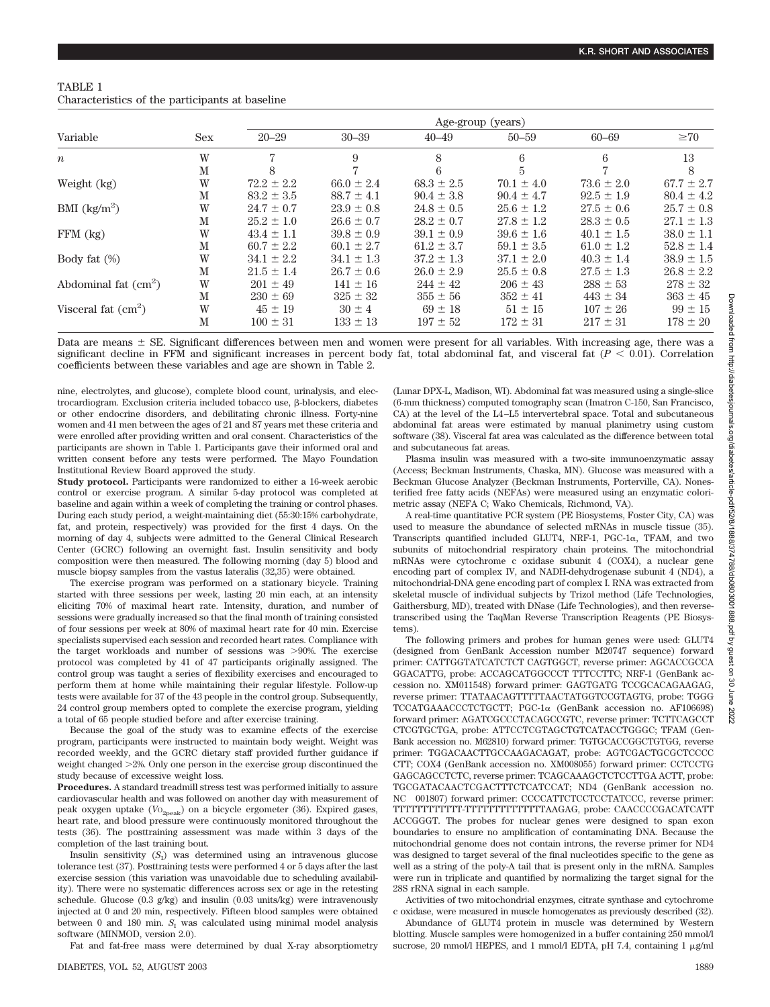| TABLE 1                                         |  |  |
|-------------------------------------------------|--|--|
| Characteristics of the participants at baseline |  |  |

|                                    |            | Age-group (years) |                |                |                |                |                |
|------------------------------------|------------|-------------------|----------------|----------------|----------------|----------------|----------------|
| Variable                           | <b>Sex</b> | $20 - 29$         | $30 - 39$      | $40 - 49$      | $50 - 59$      | $60 - 69$      | $\geq 70$      |
| $\boldsymbol{n}$                   | W          | 7                 | 9              | 8              | 6              | 6              | 13             |
|                                    | M          | 8                 | 7              |                | 5              | $\overline{7}$ | 8              |
| Weight (kg)                        | W          | $72.2 \pm 2.2$    | $66.0 \pm 2.4$ | $68.3 \pm 2.5$ | $70.1 \pm 4.0$ | $73.6 \pm 2.0$ | $67.7 \pm 2.7$ |
|                                    | M          | $83.2 \pm 3.5$    | $88.7 \pm 4.1$ | $90.4 \pm 3.8$ | $90.4 \pm 4.7$ | $92.5 \pm 1.9$ | $80.4 \pm 4.2$ |
| BMI $\frac{\text{kg}}{\text{m}^2}$ | W          | $24.7 \pm 0.7$    | $23.9 \pm 0.8$ | $24.8 \pm 0.5$ | $25.6 \pm 1.2$ | $27.5 \pm 0.6$ | $25.7 \pm 0.8$ |
|                                    | M          | $25.2 \pm 1.0$    | $26.6 \pm 0.7$ | $28.2 \pm 0.7$ | $27.8 \pm 1.2$ | $28.3 \pm 0.5$ | $27.1 \pm 1.3$ |
| $FFM$ (kg)                         | W          | $43.4 \pm 1.1$    | $39.8 \pm 0.9$ | $39.1 \pm 0.9$ | $39.6 \pm 1.6$ | $40.1 \pm 1.5$ | $38.0 \pm 1.1$ |
|                                    | М          | $60.7 \pm 2.2$    | $60.1 \pm 2.7$ | $61.2 \pm 3.7$ | $59.1 \pm 3.5$ | $61.0 \pm 1.2$ | $52.8 \pm 1.4$ |
| Body fat $(\%)$                    | W          | $34.1 \pm 2.2$    | $34.1 \pm 1.3$ | $37.2 \pm 1.3$ | $37.1 \pm 2.0$ | $40.3 \pm 1.4$ | $38.9 \pm 1.5$ |
|                                    | M          | $21.5 \pm 1.4$    | $26.7 \pm 0.6$ | $26.0 \pm 2.9$ | $25.5 \pm 0.8$ | $27.5 \pm 1.3$ | $26.8 \pm 2.2$ |
| Abdominal fat $(cm2)$              | W          | $201 \pm 49$      | $141 \pm 16$   | $244 \pm 42$   | $206 \pm 43$   | $288 \pm 53$   | $278 \pm 32$   |
|                                    | М          | $230 \pm 69$      | $325 \pm 32$   | $355 \pm 56$   | $352 \pm 41$   | $443 \pm 34$   | $363 \pm 45$   |
| Visceral fat $(cm2)$               | W          | $45 \pm 19$       | $30 \pm 4$     | $69 \pm 18$    | $51 \pm 15$    | $107 \pm 26$   | $99 \pm 15$    |
|                                    | M          | $100 \pm 31$      | $133 \pm 13$   | $197 \pm 52$   | $172 \pm 31$   | $217 \pm 31$   | $178 \pm 20$   |

Data are means  $\pm$  SE. Significant differences between men and women were present for all variables. With increasing age, there was a significant decline in FFM and significant increases in percent body fat, total abdominal fat, and visceral fat  $(P < 0.01)$ . Correlation coefficients between these variables and age are shown in Table 2.

nine, electrolytes, and glucose), complete blood count, urinalysis, and electrocardiogram. Exclusion criteria included tobacco use,  $\beta$ -blockers, diabetes or other endocrine disorders, and debilitating chronic illness. Forty-nine women and 41 men between the ages of 21 and 87 years met these criteria and were enrolled after providing written and oral consent. Characteristics of the participants are shown in Table 1. Participants gave their informed oral and written consent before any tests were performed. The Mayo Foundation Institutional Review Board approved the study.

**Study protocol.** Participants were randomized to either a 16-week aerobic control or exercise program. A similar 5-day protocol was completed at baseline and again within a week of completing the training or control phases. During each study period, a weight-maintaining diet (55:30:15% carbohydrate, fat, and protein, respectively) was provided for the first 4 days. On the morning of day 4, subjects were admitted to the General Clinical Research Center (GCRC) following an overnight fast. Insulin sensitivity and body composition were then measured. The following morning (day 5) blood and muscle biopsy samples from the vastus lateralis (32,35) were obtained.

The exercise program was performed on a stationary bicycle. Training started with three sessions per week, lasting 20 min each, at an intensity eliciting 70% of maximal heart rate. Intensity, duration, and number of sessions were gradually increased so that the final month of training consisted of four sessions per week at 80% of maximal heart rate for 40 min. Exercise specialists supervised each session and recorded heart rates. Compliance with the target workloads and number of sessions was  $>90\%$ . The exercise protocol was completed by 41 of 47 participants originally assigned. The control group was taught a series of flexibility exercises and encouraged to perform them at home while maintaining their regular lifestyle. Follow-up tests were available for 37 of the 43 people in the control group. Subsequently, 24 control group members opted to complete the exercise program, yielding a total of 65 people studied before and after exercise training.

Because the goal of the study was to examine effects of the exercise program, participants were instructed to maintain body weight. Weight was recorded weekly, and the GCRC dietary staff provided further guidance if weight changed 2%. Only one person in the exercise group discontinued the study because of excessive weight loss.

**Procedures.** A standard treadmill stress test was performed initially to assure cardiovascular health and was followed on another day with measurement of peak oxygen uptake ( $V_{{O}_{2\text{peak}}}$ ) on a bicycle ergometer (36). Expired gases, heart rate, and blood pressure were continuously monitored throughout the tests (36). The posttraining assessment was made within 3 days of the completion of the last training bout.

Insulin sensitivity  $(S_I)$  was determined using an intravenous glucose tolerance test (37). Posttraining tests were performed 4 or 5 days after the last exercise session (this variation was unavoidable due to scheduling availability). There were no systematic differences across sex or age in the retesting schedule. Glucose (0.3 g/kg) and insulin (0.03 units/kg) were intravenously injected at 0 and 20 min, respectively. Fifteen blood samples were obtained between 0 and 180 min.  $S<sub>r</sub>$  was calculated using minimal model analysis software (MINMOD, version 2.0).

Fat and fat-free mass were determined by dual X-ray absorptiometry

(Lunar DPX-L, Madison, WI). Abdominal fat was measured using a single-slice (6-mm thickness) computed tomography scan (Imatron C-150, San Francisco, CA) at the level of the L4–L5 intervertebral space. Total and subcutaneous abdominal fat areas were estimated by manual planimetry using custom software (38). Visceral fat area was calculated as the difference between total and subcutaneous fat areas.

Plasma insulin was measured with a two-site immunoenzymatic assay (Access; Beckman Instruments, Chaska, MN). Glucose was measured with a Beckman Glucose Analyzer (Beckman Instruments, Porterville, CA). Nonesterified free fatty acids (NEFAs) were measured using an enzymatic colorimetric assay (NEFA C; Wako Chemicals, Richmond, VA).

A real-time quantitative PCR system (PE Biosystems, Foster City, CA) was used to measure the abundance of selected mRNAs in muscle tissue (35). Transcripts quantified included GLUT4, NRF-1, PGC-1 $\alpha$ , TFAM, and two subunits of mitochondrial respiratory chain proteins. The mitochondrial mRNAs were cytochrome c oxidase subunit 4 (COX4), a nuclear gene encoding part of complex IV, and NADH-dehydrogenase subunit 4 (ND4), a mitochondrial-DNA gene encoding part of complex I. RNA was extracted from skeletal muscle of individual subjects by Trizol method (Life Technologies, Gaithersburg, MD), treated with DNase (Life Technologies), and then reversetranscribed using the TaqMan Reverse Transcription Reagents (PE Biosystems).

The following primers and probes for human genes were used: GLUT4 (designed from GenBank Accession number M20747 sequence) forward primer: CATTGGTATCATCTCT CAGTGGCT, reverse primer: AGCACCGCCA GGACATTG, probe: ACCAGCATGGCCCT TTTCCTTC; NRF-1 (GenBank accession no. XM011548) forward primer: GAGTGATG TCCGCACAGAAGAG, reverse primer: TTATAACAGTTTTTAACTATGGTCCGTAGTG, probe: TGGG TCCATGAAACCCTCTGCTT; PGC-1 $\alpha$  (GenBank accession no. AF106698) forward primer: AGATCGCCCTACAGCCGTC, reverse primer: TCTTCAGCCT CTCGTGCTGA, probe: ATTCCTCGTAGCTGTCATACCTGGGC; TFAM (Gen-Bank accession no. M62810) forward primer: TGTGCACCGGCTGTGG, reverse primer: TGGACAACTTGCCAAGACAGAT, probe: AGTCGACTGCGCTCCCC CTT; COX4 (GenBank accession no. XM008055) forward primer: CCTCCTG GAGCAGCCTCTC, reverse primer: TCAGCAAAGCTCTCCTTGA ACTT, probe: TGCGATACAACTCGACTTTCTCATCCAT; ND4 (GenBank accession no. NC 001807) forward primer: CCCCATTCTCCTCCTATCCC, reverse primer: TTTTTTTTTTTT-TTTTTTTTTTTTTTAAGAG, probe: CAACCCCGACATCATT ACCGGGT. The probes for nuclear genes were designed to span exon boundaries to ensure no amplification of contaminating DNA. Because the mitochondrial genome does not contain introns, the reverse primer for ND4 was designed to target several of the final nucleotides specific to the gene as well as a string of the poly-A tail that is present only in the mRNA. Samples were run in triplicate and quantified by normalizing the target signal for the 28S rRNA signal in each sample.

Activities of two mitochondrial enzymes, citrate synthase and cytochrome c oxidase, were measured in muscle homogenates as previously described (32).

Abundance of GLUT4 protein in muscle was determined by Western blotting. Muscle samples were homogenized in a buffer containing 250 mmol/l sucrose, 20 mmol/l HEPES, and 1 mmol/l EDTA, pH 7.4, containing 1 µg/ml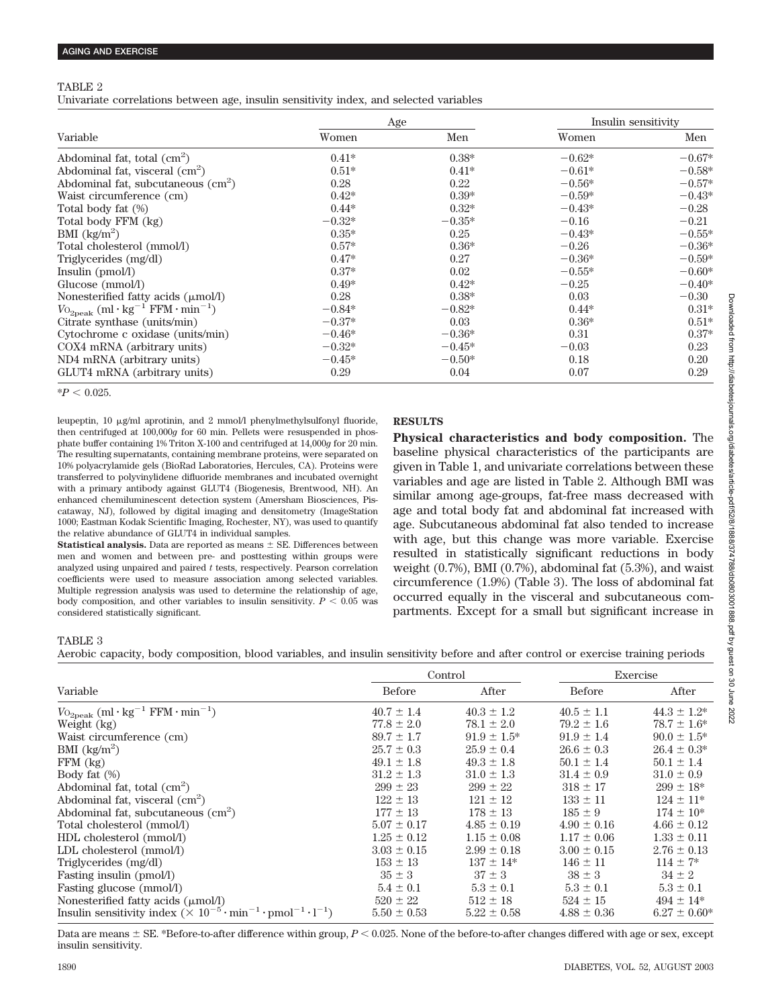## TABLE 2

Univariate correlations between age, insulin sensitivity index, and selected variables

|                                                                        | Age      |          | Insulin sensitivity |          |
|------------------------------------------------------------------------|----------|----------|---------------------|----------|
| Variable                                                               | Women    | Men      | Women               | Men      |
| Abdominal fat, total $\text{cm}^2$ )                                   | $0.41*$  | $0.38*$  | $-0.62*$            | $-0.67*$ |
| Abdominal fat, visceral $(cm2)$                                        | $0.51*$  | $0.41*$  | $-0.61*$            | $-0.58*$ |
| Abdominal fat, subcutaneous (cm <sup>2</sup> )                         | 0.28     | 0.22     | $-0.56*$            | $-0.57*$ |
| Waist circumference (cm)                                               | $0.42*$  | $0.39*$  | $-0.59*$            | $-0.43*$ |
| Total body fat (%)                                                     | $0.44*$  | $0.32*$  | $-0.43*$            | $-0.28$  |
| Total body FFM (kg)                                                    | $-0.32*$ | $-0.35*$ | $-0.16$             | $-0.21$  |
| $BMI$ (kg/m <sup>2</sup> )                                             | $0.35*$  | 0.25     | $-0.43*$            | $-0.55*$ |
| Total cholesterol (mmol/l)                                             | $0.57*$  | $0.36*$  | $-0.26$             | $-0.36*$ |
| Triglycerides (mg/dl)                                                  | $0.47*$  | 0.27     | $-0.36*$            | $-0.59*$ |
| Insulin (pmol/l)                                                       | $0.37*$  | 0.02     | $-0.55*$            | $-0.60*$ |
| Glucose (mmol/l)                                                       | $0.49*$  | $0.42*$  | $-0.25$             | $-0.40*$ |
| Nonesterified fatty acids $(\mu \text{mol/l})$                         | 0.28     | $0.38*$  | 0.03                | $-0.30$  |
| $V_{{\rm O}_2{\rm peak}}$ (ml·kg <sup>-1</sup> FFM·min <sup>-1</sup> ) | $-0.84*$ | $-0.82*$ | $0.44*$             | $0.31*$  |
| Citrate synthase (units/min)                                           | $-0.37*$ | 0.03     | $0.36*$             | $0.51*$  |
| Cytochrome c oxidase (units/min)                                       | $-0.46*$ | $-0.36*$ | 0.31                | $0.37*$  |
| COX4 mRNA (arbitrary units)                                            | $-0.32*$ | $-0.45*$ | $-0.03$             | 0.23     |
| ND4 mRNA (arbitrary units)                                             | $-0.45*$ | $-0.50*$ | 0.18                | 0.20     |
| GLUT4 mRNA (arbitrary units)                                           | 0.29     | 0.04     | 0.07                | 0.29     |

#### $*P < 0.025$ .

leupeptin, 10  $\mu$ g/ml aprotinin, and 2 mmol/l phenylmethylsulfonyl fluoride, then centrifuged at 100,000*g* for 60 min. Pellets were resuspended in phosphate buffer containing 1% Triton X-100 and centrifuged at 14,000*g* for 20 min. The resulting supernatants, containing membrane proteins, were separated on 10% polyacrylamide gels (BioRad Laboratories, Hercules, CA). Proteins were transferred to polyvinylidene difluoride membranes and incubated overnight with a primary antibody against GLUT4 (Biogenesis, Brentwood, NH). An enhanced chemiluminescent detection system (Amersham Biosciences, Piscataway, NJ), followed by digital imaging and densitometry (ImageStation 1000; Eastman Kodak Scientific Imaging, Rochester, NY), was used to quantify the relative abundance of GLUT4 in individual samples.

**Statistical analysis.** Data are reported as means  $\pm$  SE. Differences between men and women and between pre- and posttesting within groups were analyzed using unpaired and paired *t* tests, respectively. Pearson correlation coefficients were used to measure association among selected variables. Multiple regression analysis was used to determine the relationship of age, body composition, and other variables to insulin sensitivity.  $P < 0.05$  was considered statistically significant.

# **RESULTS**

**Physical characteristics and body composition.** The baseline physical characteristics of the participants are given in Table 1, and univariate correlations between these variables and age are listed in Table 2. Although BMI was similar among age-groups, fat-free mass decreased with age and total body fat and abdominal fat increased with age. Subcutaneous abdominal fat also tended to increase with age, but this change was more variable. Exercise resulted in statistically significant reductions in body weight  $(0.7\%)$ , BMI  $(0.7\%)$ , abdominal fat  $(5.3\%)$ , and waist circumference (1.9%) (Table 3). The loss of abdominal fat occurred equally in the visceral and subcutaneous compartments. Except for a small but significant increase in

## TABLE 3

Aerobic capacity, body composition, blood variables, and insulin sensitivity before and after control or exercise training periods

|                                                                                                                    |                 | Control          | Exercise        |                  |  |
|--------------------------------------------------------------------------------------------------------------------|-----------------|------------------|-----------------|------------------|--|
| Variable                                                                                                           | <b>Before</b>   | After            | <b>Before</b>   | After            |  |
| $\ensuremath{V\mathrm{o}}_{\text{2peak}}\left(\text{ml}\cdot\text{kg}^{-1}\ \text{FFM}\cdot\text{min}^{-1}\right)$ | $40.7 \pm 1.4$  | $40.3 \pm 1.2$   | $40.5 \pm 1.1$  | $44.3 \pm 1.2^*$ |  |
| Weight (kg)                                                                                                        | $77.8 \pm 2.0$  | $78.1 \pm 2.0$   | $79.2 \pm 1.6$  | $78.7 \pm 1.6^*$ |  |
| Waist circumference (cm)                                                                                           | $89.7 \pm 1.7$  | $91.9 \pm 1.5^*$ | $91.9 \pm 1.4$  | $90.0 \pm 1.5^*$ |  |
| BMI $\frac{\text{kg}}{\text{m}^2}$                                                                                 | $25.7 \pm 0.3$  | $25.9 \pm 0.4$   | $26.6 \pm 0.3$  | $26.4 \pm 0.3^*$ |  |
| $FFM$ $(kg)$                                                                                                       | $49.1 \pm 1.8$  | $49.3 \pm 1.8$   | $50.1 \pm 1.4$  | $50.1 \pm 1.4$   |  |
| Body fat (%)                                                                                                       | $31.2 \pm 1.3$  | $31.0 \pm 1.3$   | $31.4 \pm 0.9$  | $31.0 \pm 0.9$   |  |
| Abdominal fat, total (cm <sup>2</sup> )                                                                            | $299 \pm 23$    | $299 \pm 22$     | $318 \pm 17$    | $299 \pm 18$ *   |  |
| Abdominal fat, visceral (cm <sup>2</sup> )                                                                         | $122 \pm 13$    | $121 \pm 12$     | $133 \pm 11$    | $124 \pm 11*$    |  |
| Abdominal fat, subcutaneous (cm <sup>2</sup> )                                                                     | $177 \pm 13$    | $178 \pm 13$     | $185 \pm 9$     | $174 \pm 10^*$   |  |
| Total cholesterol (mmol/l)                                                                                         | $5.07 \pm 0.17$ | $4.85 \pm 0.19$  | $4.90 \pm 0.16$ | $4.66 \pm 0.12$  |  |
| HDL cholesterol (mmol/l)                                                                                           | $1.25 \pm 0.12$ | $1.15 \pm 0.08$  | $1.17 \pm 0.06$ | $1.33 \pm 0.11$  |  |
| LDL cholesterol (mmol/l)                                                                                           | $3.03 \pm 0.15$ | $2.99 \pm 0.18$  | $3.00 \pm 0.15$ | $2.76 \pm 0.13$  |  |
| Triglycerides (mg/dl)                                                                                              | $153 \pm 13$    | $137 \pm 14*$    | $146 \pm 11$    | $114 \pm 7^*$    |  |
| Fasting insulin (pmol/l)                                                                                           | $35 \pm 3$      | $37 \pm 3$       | $38 \pm 3$      | $34 \pm 2$       |  |
| Fasting glucose (mmol/l)                                                                                           | $5.4 \pm 0.1$   | $5.3 \pm 0.1$    | $5.3 \pm 0.1$   | $5.3 \pm 0.1$    |  |
| Nonesterified fatty acids $(\mu \text{mol/l})$                                                                     | $520 \pm 22$    | $512 \pm 18$     | $524 \pm 15$    | $494 \pm 14$ *   |  |
| Insulin sensitivity index $(\times 10^{-5} \cdot \text{min}^{-1} \cdot \text{pmol}^{-1} \cdot 1^{-1})$             | $5.50 \pm 0.53$ | $5.22 \pm 0.58$  | $4.88 \pm 0.36$ | $6.27 \pm 0.60*$ |  |

Data are means  $\pm$  SE. \*Before-to-after difference within group,  $P \le 0.025$ . None of the before-to-after changes differed with age or sex, except insulin sensitivity.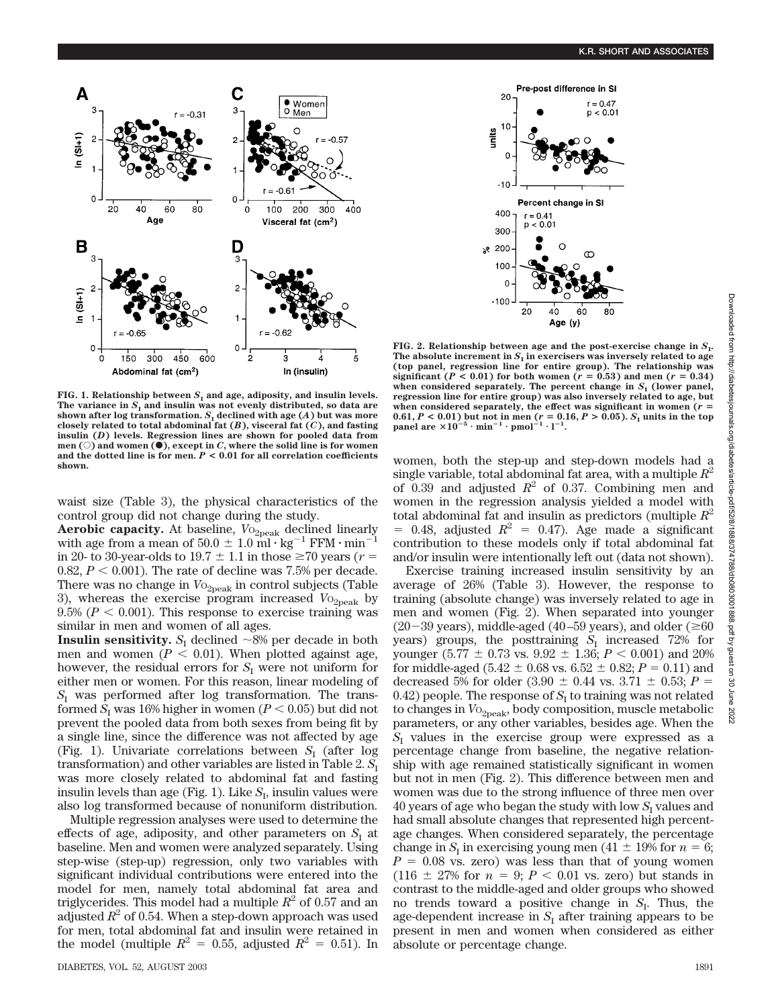

 $-100 -$ 20 40 Age (y) **FIG. 2. Relationship between age and the post-exercise change in**  $S$ **<sup>1</sup>.** The absolute increment in  $S<sub>I</sub>$  in exercisers was inversely related to age **(top panel, regression line for entire group). The relationship was significant** ( $P < 0.01$ ) for both women ( $r = 0.53$ ) and men ( $r = 0.34$ ) when considered separately. The percent change in  $S<sub>I</sub>$  (lower panel, **regression line for entire group) was also inversely related to age, but** when considered separately, the effect was significant in women  $(r =$ 0.61, *P* < 0.01) but not in men (*r* = 0.16, *P* > 0.05). *S*<sub>I</sub> units in the top panel are  $\times 10^{-5} \cdot \text{min}^{-1} \cdot \text{pmol}^{-1} \cdot 1^{-1}$ .

Pre-post difference in SI

Percent change in SI

Œ

 $r = 0.41$ 

 $p < 0.01$ 

 $r = 0.47$ 

 $p < 0.01$ 

 $\alpha$ 

 $-10$ 

400

300

100  $\mathbf 0$ 

 $8200$ 

units

**FIG. 1. Relationship between**  $S<sub>I</sub>$  and age, adiposity, and insulin levels. The variance in  $S$ <sup>I</sup> and insulin was not evenly distributed, so data are shown after log transformation.  $S$ <sup>I</sup> declined with age  $(A)$  but was more **closely related to total abdominal fat (***B***), visceral fat (***C***), and fasting insulin (***D***) levels. Regression lines are shown for pooled data from men** ( $\odot$ ) and women ( $\bullet$ ), except in *C*, where the solid line is for women **and the dotted line is for men.** *P* **< 0.01 for all correlation coefficients shown.**

waist size (Table 3), the physical characteristics of the control group did not change during the study.

Aerobic capacity. At baseline,  $V_{O_{2\text{peak}}}$  declined linearly with age from a mean of  $50.0 \pm 1.0 \text{ ml} \cdot \text{kg}^{-1} \text{ FFM} \cdot \text{min}^{-1}$ in 20- to 30-year-olds to  $19.7 \pm 1.1$  in those  $\geq 70$  years ( $r =$ 0.82,  $P < 0.001$ ). The rate of decline was 7.5% per decade. There was no change in  $V_{{}^{0}2\text{peak}}$  in control subjects (Table 3), whereas the exercise program increased  $V_{O_{2\text{peak}}}$  by  $9.5\%$  ( $P < 0.001$ ). This response to exercise training was similar in men and women of all ages.

**Insulin sensitivity.**  $S_1$  declined  $\sim 8\%$  per decade in both men and women  $(P < 0.01)$ . When plotted against age, however, the residual errors for  $S<sub>I</sub>$  were not uniform for either men or women. For this reason, linear modeling of *S*<sup>I</sup> was performed after log transformation. The transformed  $S_I$  was 16% higher in women ( $P < 0.05$ ) but did not prevent the pooled data from both sexes from being fit by a single line, since the difference was not affected by age (Fig. 1). Univariate correlations between  $S_I$  (after log transformation) and other variables are listed in Table 2.  $S_I$ was more closely related to abdominal fat and fasting insulin levels than age (Fig. 1). Like  $S_I$ , insulin values were also log transformed because of nonuniform distribution.

Multiple regression analyses were used to determine the effects of age, adiposity, and other parameters on  $S<sub>I</sub>$  at baseline. Men and women were analyzed separately. Using step-wise (step-up) regression, only two variables with significant individual contributions were entered into the model for men, namely total abdominal fat area and triglycerides. This model had a multiple  $R^2$  of 0.57 and an adjusted  $R^2$  of 0.54. When a step-down approach was used for men, total abdominal fat and insulin were retained in the model (multiple  $R^2 = 0.55$ , adjusted  $R^2 = 0.51$ ). In

women, both the step-up and step-down models had a single variable, total abdominal fat area, with a multiple  $R^2$ of 0.39 and adjusted  $R^2$  of 0.37. Combining men and women in the regression analysis yielded a model with total abdominal fat and insulin as predictors (multiple  $R^2$ )  $= 0.48$ , adjusted  $R^2 = 0.47$ ). Age made a significant contribution to these models only if total abdominal fat and/or insulin were intentionally left out (data not shown).

Exercise training increased insulin sensitivity by an average of 26% (Table 3). However, the response to training (absolute change) was inversely related to age in men and women (Fig. 2). When separated into younger  $(20-39 \text{ years})$ , middle-aged (40–59 years), and older ( $\geq 60$ years) groups, the posttraining  $S<sub>I</sub>$  increased 72% for younger (5.77  $\pm$  0.73 vs. 9.92  $\pm$  1.36; *P* < 0.001) and 20% for middle-aged  $(5.42 \pm 0.68 \text{ vs. } 6.52 \pm 0.82; P = 0.11)$  and decreased 5% for older  $(3.90 \pm 0.44 \text{ vs. } 3.71 \pm 0.53; P =$ 0.42) people. The response of  $S<sub>I</sub>$  to training was not related to changes in  $V_{{}^{0}2p\text{eak}}$ , body composition, muscle metabolic parameters, or any other variables, besides age. When the  $S<sub>I</sub>$  values in the exercise group were expressed as a percentage change from baseline, the negative relationship with age remained statistically significant in women but not in men (Fig. 2). This difference between men and women was due to the strong influence of three men over 40 years of age who began the study with low  $S<sub>I</sub>$  values and had small absolute changes that represented high percentage changes. When considered separately, the percentage change in  $S_I$  in exercising young men (41  $\pm$  19% for  $n = 6$ ;  $P = 0.08$  vs. zero) was less than that of young women  $(116 \pm 27\% \text{ for } n = 9; P < 0.01 \text{ vs. zero}) \text{ but stands in}$ contrast to the middle-aged and older groups who showed no trends toward a positive change in  $S_I$ . Thus, the age-dependent increase in  $S<sub>I</sub>$  after training appears to be present in men and women when considered as either absolute or percentage change.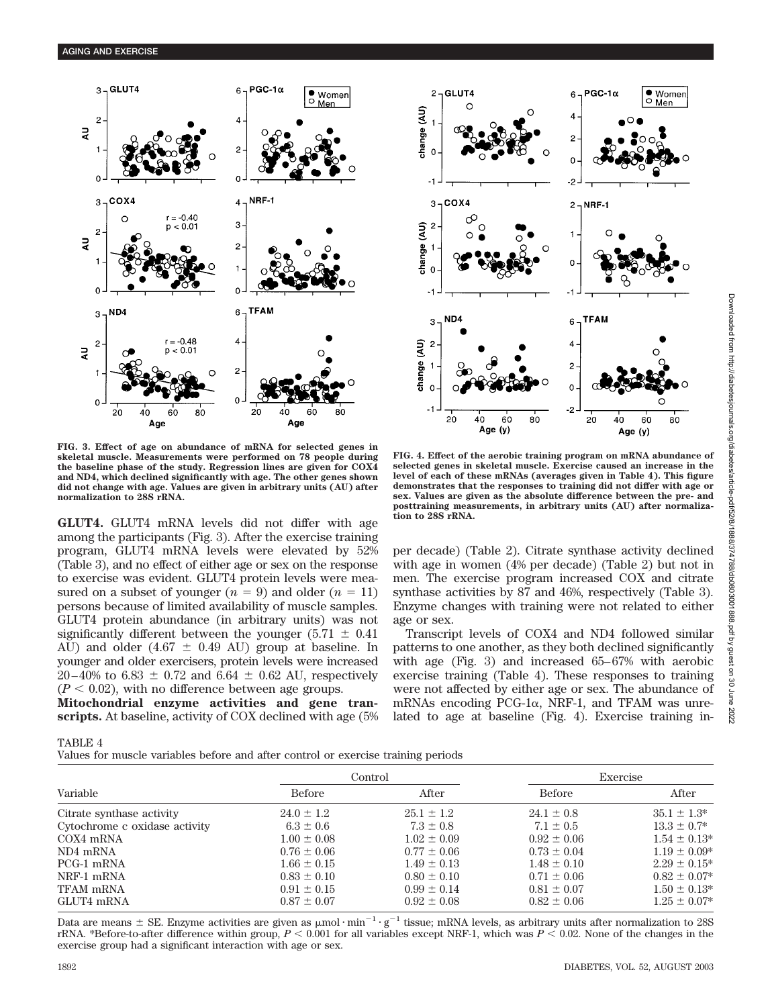



**FIG. 3. Effect of age on abundance of mRNA for selected genes in skeletal muscle. Measurements were performed on 78 people during the baseline phase of the study. Regression lines are given for COX4 and ND4, which declined significantly with age. The other genes shown did not change with age. Values are given in arbitrary units (AU) after normalization to 28S rRNA.**

**GLUT4.** GLUT4 mRNA levels did not differ with age among the participants (Fig. 3). After the exercise training program, GLUT4 mRNA levels were elevated by 52% (Table 3), and no effect of either age or sex on the response to exercise was evident. GLUT4 protein levels were measured on a subset of younger  $(n = 9)$  and older  $(n = 11)$ persons because of limited availability of muscle samples. GLUT4 protein abundance (in arbitrary units) was not significantly different between the younger (5.71  $\pm$  0.41 AU) and older (4.67  $\pm$  0.49 AU) group at baseline. In younger and older exercisers, protein levels were increased 20–40% to 6.83  $\pm$  0.72 and 6.64  $\pm$  0.62 AU, respectively  $(P < 0.02)$ , with no difference between age groups.

**Mitochondrial enzyme activities and gene transcripts.** At baseline, activity of COX declined with age (5%

**FIG. 4. Effect of the aerobic training program on mRNA abundance of selected genes in skeletal muscle. Exercise caused an increase in the level of each of these mRNAs (averages given in Table 4). This figure demonstrates that the responses to training did not differ with age or sex. Values are given as the absolute difference between the pre- and posttraining measurements, in arbitrary units (AU) after normalization to 28S rRNA.**

per decade) (Table 2). Citrate synthase activity declined with age in women (4% per decade) (Table 2) but not in men. The exercise program increased COX and citrate synthase activities by 87 and 46%, respectively (Table 3). Enzyme changes with training were not related to either age or sex.

Transcript levels of COX4 and ND4 followed similar patterns to one another, as they both declined significantly with age (Fig. 3) and increased 65–67% with aerobic exercise training (Table 4). These responses to training were not affected by either age or sex. The abundance of mRNAs encoding PCG-1 $\alpha$ , NRF-1, and TFAM was unrelated to age at baseline (Fig. 4). Exercise training in-

| ADL. |  |
|------|--|
|      |  |

Values for muscle variables before and after control or exercise training periods

| water its macro consulted before that there comed to the check the transmit persons |                   |  |  |  |  |  |
|-------------------------------------------------------------------------------------|-------------------|--|--|--|--|--|
| Exercise                                                                            |                   |  |  |  |  |  |
| Before                                                                              | After             |  |  |  |  |  |
| $24.1 \pm 0.8$                                                                      | $35.1 \pm 1.3^*$  |  |  |  |  |  |
| $7.1 \pm 0.5$                                                                       | $13.3 \pm 0.7^*$  |  |  |  |  |  |
| $0.92 \pm 0.06$                                                                     | $1.54 \pm 0.13*$  |  |  |  |  |  |
| $0.73 \pm 0.04$                                                                     | $1.19 \pm 0.09*$  |  |  |  |  |  |
| $1.48 \pm 0.10$                                                                     | $2.29 \pm 0.15^*$ |  |  |  |  |  |
| $0.71 \pm 0.06$                                                                     | $0.82 \pm 0.07*$  |  |  |  |  |  |
| $0.81 \pm 0.07$                                                                     | $1.50 \pm 0.13*$  |  |  |  |  |  |
| $0.82 \pm 0.06$                                                                     | $1.25 \pm 0.07^*$ |  |  |  |  |  |
|                                                                                     |                   |  |  |  |  |  |

Data are means  $\pm$  SE. Enzyme activities are given as  $\mu$ mol·min<sup>-1</sup>·g<sup>-1</sup> tissue; mRNA levels, as arbitrary units after normalization to 28S rRNA. \*Before-to-after difference within group,  $P \leq 0.001$  for all variables except NRF-1, which was  $P \leq 0.02$ . None of the changes in the exercise group had a significant interaction with age or sex.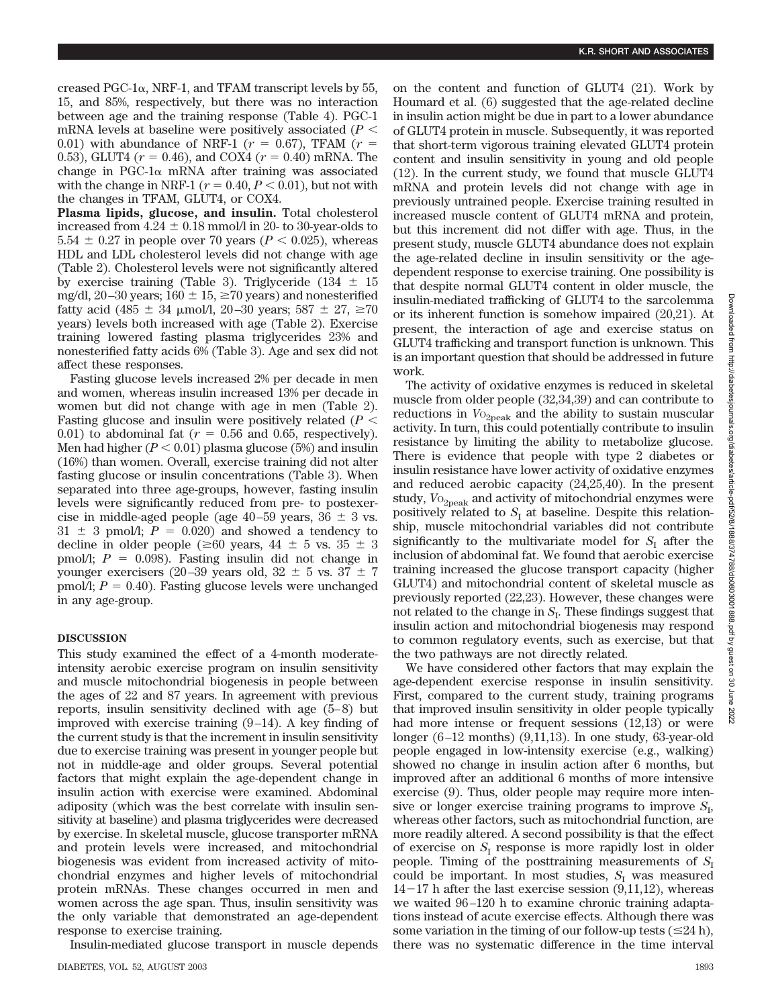creased PGC-1 $\alpha$ , NRF-1, and TFAM transcript levels by 55, 15, and 85%, respectively, but there was no interaction between age and the training response (Table 4). PGC-1 mRNA levels at baseline were positively associated (*P* 0.01) with abundance of NRF-1 ( $r = 0.67$ ), TFAM ( $r =$ 0.53), GLUT4 ( $r = 0.46$ ), and COX4 ( $r = 0.40$ ) mRNA. The change in PGC-1 $\alpha$  mRNA after training was associated with the change in NRF-1 ( $r = 0.40, P < 0.01$ ), but not with the changes in TFAM, GLUT4, or COX4.

**Plasma lipids, glucose, and insulin.** Total cholesterol increased from  $4.24 \pm 0.18$  mmol/l in 20- to 30-year-olds to  $5.54 \pm 0.27$  in people over 70 years ( $P < 0.025$ ), whereas HDL and LDL cholesterol levels did not change with age (Table 2). Cholesterol levels were not significantly altered by exercise training (Table 3). Triglyceride (134  $\pm$  15 mg/dl, 20–30 years;  $160 \pm 15$ ,  $\geq 70$  years) and nonesterified fatty acid (485  $\pm$  34 µmol/l, 20–30 years; 587  $\pm$  27,  $\geq$ 70 years) levels both increased with age (Table 2). Exercise training lowered fasting plasma triglycerides 23% and nonesterified fatty acids 6% (Table 3). Age and sex did not affect these responses.

Fasting glucose levels increased 2% per decade in men and women, whereas insulin increased 13% per decade in women but did not change with age in men (Table 2). Fasting glucose and insulin were positively related (*P* 0.01) to abdominal fat  $(r = 0.56$  and 0.65, respectively). Men had higher  $(P < 0.01)$  plasma glucose (5%) and insulin (16%) than women. Overall, exercise training did not alter fasting glucose or insulin concentrations (Table 3). When separated into three age-groups, however, fasting insulin levels were significantly reduced from pre- to postexercise in middle-aged people (age  $40-59$  years,  $36 \pm 3$  vs.  $31 \pm 3$  pmol/l;  $P = 0.020$ ) and showed a tendency to decline in older people ( $\geq 60$  years,  $44 \pm 5$  vs.  $35 \pm 3$ pmol/l;  $P = 0.098$ ). Fasting insulin did not change in younger exercisers (20–39 years old,  $32 \pm 5$  vs.  $37 \pm 7$  $\text{pmol/l}; P = 0.40$ ). Fasting glucose levels were unchanged in any age-group.

# **DISCUSSION**

This study examined the effect of a 4-month moderateintensity aerobic exercise program on insulin sensitivity and muscle mitochondrial biogenesis in people between the ages of 22 and 87 years. In agreement with previous reports, insulin sensitivity declined with age (5–8) but improved with exercise training (9–14). A key finding of the current study is that the increment in insulin sensitivity due to exercise training was present in younger people but not in middle-age and older groups. Several potential factors that might explain the age-dependent change in insulin action with exercise were examined. Abdominal adiposity (which was the best correlate with insulin sensitivity at baseline) and plasma triglycerides were decreased by exercise. In skeletal muscle, glucose transporter mRNA and protein levels were increased, and mitochondrial biogenesis was evident from increased activity of mitochondrial enzymes and higher levels of mitochondrial protein mRNAs. These changes occurred in men and women across the age span. Thus, insulin sensitivity was the only variable that demonstrated an age-dependent response to exercise training.

Insulin-mediated glucose transport in muscle depends

on the content and function of GLUT4 (21). Work by Houmard et al. (6) suggested that the age-related decline in insulin action might be due in part to a lower abundance of GLUT4 protein in muscle. Subsequently, it was reported that short-term vigorous training elevated GLUT4 protein content and insulin sensitivity in young and old people (12). In the current study, we found that muscle GLUT4 mRNA and protein levels did not change with age in previously untrained people. Exercise training resulted in increased muscle content of GLUT4 mRNA and protein, but this increment did not differ with age. Thus, in the present study, muscle GLUT4 abundance does not explain the age-related decline in insulin sensitivity or the agedependent response to exercise training. One possibility is that despite normal GLUT4 content in older muscle, the insulin-mediated trafficking of GLUT4 to the sarcolemma or its inherent function is somehow impaired (20,21). At present, the interaction of age and exercise status on GLUT4 trafficking and transport function is unknown. This is an important question that should be addressed in future work.

The activity of oxidative enzymes is reduced in skeletal muscle from older people (32,34,39) and can contribute to reductions in  $V_{O_{2\text{peak}}}$  and the ability to sustain muscular activity. In turn, this could potentially contribute to insulin resistance by limiting the ability to metabolize glucose. There is evidence that people with type 2 diabetes or insulin resistance have lower activity of oxidative enzymes and reduced aerobic capacity (24,25,40). In the present study,  $V_{{}^{0}2p$ eak and activity of mitochondrial enzymes were positively related to  $S<sub>I</sub>$  at baseline. Despite this relationship, muscle mitochondrial variables did not contribute significantly to the multivariate model for  $S<sub>I</sub>$  after the inclusion of abdominal fat. We found that aerobic exercise training increased the glucose transport capacity (higher GLUT4) and mitochondrial content of skeletal muscle as previously reported (22,23). However, these changes were not related to the change in  $S<sub>I</sub>$ . These findings suggest that insulin action and mitochondrial biogenesis may respond to common regulatory events, such as exercise, but that the two pathways are not directly related.

We have considered other factors that may explain the age-dependent exercise response in insulin sensitivity. First, compared to the current study, training programs that improved insulin sensitivity in older people typically had more intense or frequent sessions (12,13) or were longer (6–12 months) (9,11,13). In one study, 63-year-old people engaged in low-intensity exercise (e.g., walking) showed no change in insulin action after 6 months, but improved after an additional 6 months of more intensive exercise (9). Thus, older people may require more intensive or longer exercise training programs to improve  $S_I$ , whereas other factors, such as mitochondrial function, are more readily altered. A second possibility is that the effect of exercise on  $S<sub>I</sub>$  response is more rapidly lost in older people. Timing of the posttraining measurements of  $S_I$ could be important. In most studies,  $S_I$  was measured  $14-17$  h after the last exercise session  $(9,11,12)$ , whereas we waited 96–120 h to examine chronic training adaptations instead of acute exercise effects. Although there was some variation in the timing of our follow-up tests  $(\leq 24 h)$ , there was no systematic difference in the time interval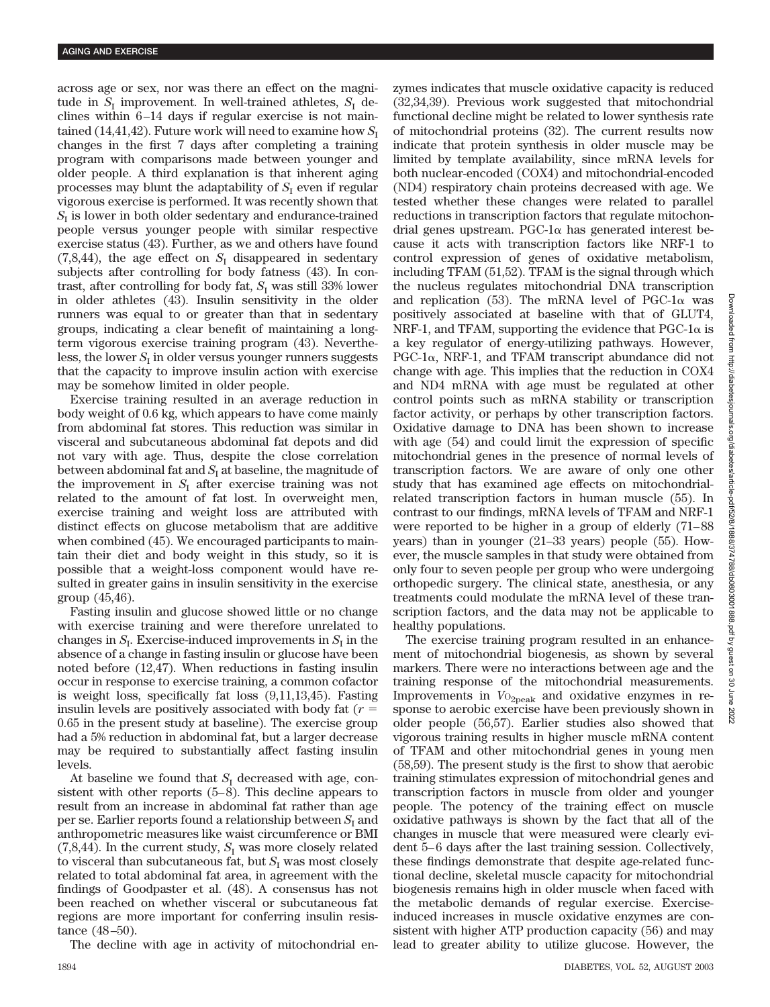across age or sex, nor was there an effect on the magnitude in  $S_I$  improvement. In well-trained athletes,  $S_I$  declines within 6–14 days if regular exercise is not maintained (14,41,42). Future work will need to examine how  $S_1$ changes in the first 7 days after completing a training program with comparisons made between younger and older people. A third explanation is that inherent aging processes may blunt the adaptability of  $S<sub>I</sub>$  even if regular vigorous exercise is performed. It was recently shown that  $S<sub>I</sub>$  is lower in both older sedentary and endurance-trained people versus younger people with similar respective exercise status (43). Further, as we and others have found  $(7,8,44)$ , the age effect on  $S<sub>I</sub>$  disappeared in sedentary subjects after controlling for body fatness (43). In contrast, after controlling for body fat,  $S<sub>I</sub>$  was still 33% lower in older athletes (43). Insulin sensitivity in the older runners was equal to or greater than that in sedentary groups, indicating a clear benefit of maintaining a longterm vigorous exercise training program (43). Nevertheless, the lower  $S<sub>I</sub>$  in older versus younger runners suggests that the capacity to improve insulin action with exercise may be somehow limited in older people.

Exercise training resulted in an average reduction in body weight of 0.6 kg, which appears to have come mainly from abdominal fat stores. This reduction was similar in visceral and subcutaneous abdominal fat depots and did not vary with age. Thus, despite the close correlation between abdominal fat and  $S<sub>I</sub>$  at baseline, the magnitude of the improvement in  $S<sub>I</sub>$  after exercise training was not related to the amount of fat lost. In overweight men, exercise training and weight loss are attributed with distinct effects on glucose metabolism that are additive when combined (45). We encouraged participants to maintain their diet and body weight in this study, so it is possible that a weight-loss component would have resulted in greater gains in insulin sensitivity in the exercise group (45,46).

Fasting insulin and glucose showed little or no change with exercise training and were therefore unrelated to changes in  $S_I$ . Exercise-induced improvements in  $S_I$  in the absence of a change in fasting insulin or glucose have been noted before (12,47). When reductions in fasting insulin occur in response to exercise training, a common cofactor is weight loss, specifically fat loss (9,11,13,45). Fasting insulin levels are positively associated with body fat (*r* 0.65 in the present study at baseline). The exercise group had a 5% reduction in abdominal fat, but a larger decrease may be required to substantially affect fasting insulin levels.

At baseline we found that  $S<sub>I</sub>$  decreased with age, consistent with other reports (5–8). This decline appears to result from an increase in abdominal fat rather than age per se. Earlier reports found a relationship between  $S<sub>I</sub>$  and anthropometric measures like waist circumference or BMI  $(7,8,44)$ . In the current study,  $S<sub>I</sub>$  was more closely related to visceral than subcutaneous fat, but  $S<sub>I</sub>$  was most closely related to total abdominal fat area, in agreement with the findings of Goodpaster et al. (48). A consensus has not been reached on whether visceral or subcutaneous fat regions are more important for conferring insulin resistance (48–50).

The decline with age in activity of mitochondrial en-

zymes indicates that muscle oxidative capacity is reduced (32,34,39). Previous work suggested that mitochondrial functional decline might be related to lower synthesis rate of mitochondrial proteins (32). The current results now indicate that protein synthesis in older muscle may be limited by template availability, since mRNA levels for both nuclear-encoded (COX4) and mitochondrial-encoded (ND4) respiratory chain proteins decreased with age. We tested whether these changes were related to parallel reductions in transcription factors that regulate mitochondrial genes upstream. PGC-1 $\alpha$  has generated interest because it acts with transcription factors like NRF-1 to control expression of genes of oxidative metabolism, including TFAM (51,52). TFAM is the signal through which the nucleus regulates mitochondrial DNA transcription and replication (53). The mRNA level of PGC-1 $\alpha$  was positively associated at baseline with that of GLUT4, NRF-1, and TFAM, supporting the evidence that  $PGC-1\alpha$  is a key regulator of energy-utilizing pathways. However,  $PGC-1\alpha$ , NRF-1, and TFAM transcript abundance did not change with age. This implies that the reduction in COX4 and ND4 mRNA with age must be regulated at other control points such as mRNA stability or transcription factor activity, or perhaps by other transcription factors. Oxidative damage to DNA has been shown to increase with age (54) and could limit the expression of specific mitochondrial genes in the presence of normal levels of transcription factors. We are aware of only one other study that has examined age effects on mitochondrialrelated transcription factors in human muscle (55). In contrast to our findings, mRNA levels of TFAM and NRF-1 were reported to be higher in a group of elderly (71–88 years) than in younger (21–33 years) people (55). However, the muscle samples in that study were obtained from only four to seven people per group who were undergoing orthopedic surgery. The clinical state, anesthesia, or any treatments could modulate the mRNA level of these transcription factors, and the data may not be applicable to healthy populations.

The exercise training program resulted in an enhancement of mitochondrial biogenesis, as shown by several markers. There were no interactions between age and the training response of the mitochondrial measurements. Improvements in  $V_{{}^{0}2peak}$  and oxidative enzymes in response to aerobic exercise have been previously shown in older people (56,57). Earlier studies also showed that vigorous training results in higher muscle mRNA content of TFAM and other mitochondrial genes in young men (58,59). The present study is the first to show that aerobic training stimulates expression of mitochondrial genes and transcription factors in muscle from older and younger people. The potency of the training effect on muscle oxidative pathways is shown by the fact that all of the changes in muscle that were measured were clearly evident 5–6 days after the last training session. Collectively, these findings demonstrate that despite age-related functional decline, skeletal muscle capacity for mitochondrial biogenesis remains high in older muscle when faced with the metabolic demands of regular exercise. Exerciseinduced increases in muscle oxidative enzymes are consistent with higher ATP production capacity (56) and may lead to greater ability to utilize glucose. However, the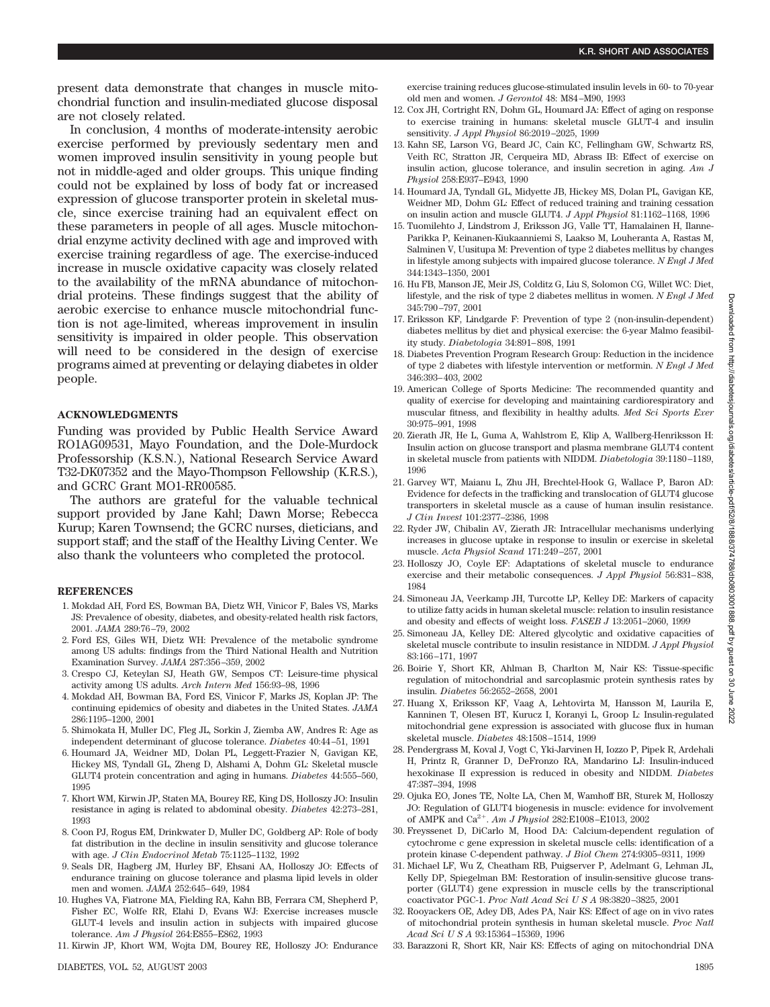present data demonstrate that changes in muscle mitochondrial function and insulin-mediated glucose disposal are not closely related.

In conclusion, 4 months of moderate-intensity aerobic exercise performed by previously sedentary men and women improved insulin sensitivity in young people but not in middle-aged and older groups. This unique finding could not be explained by loss of body fat or increased expression of glucose transporter protein in skeletal muscle, since exercise training had an equivalent effect on these parameters in people of all ages. Muscle mitochondrial enzyme activity declined with age and improved with exercise training regardless of age. The exercise-induced increase in muscle oxidative capacity was closely related to the availability of the mRNA abundance of mitochondrial proteins. These findings suggest that the ability of aerobic exercise to enhance muscle mitochondrial function is not age-limited, whereas improvement in insulin sensitivity is impaired in older people. This observation will need to be considered in the design of exercise programs aimed at preventing or delaying diabetes in older people.

# **ACKNOWLEDGMENTS**

Funding was provided by Public Health Service Award RO1AG09531, Mayo Foundation, and the Dole-Murdock Professorship (K.S.N.), National Research Service Award T32-DK07352 and the Mayo-Thompson Fellowship (K.R.S.), and GCRC Grant MO1-RR00585.

The authors are grateful for the valuable technical support provided by Jane Kahl; Dawn Morse; Rebecca Kurup; Karen Townsend; the GCRC nurses, dieticians, and support staff; and the staff of the Healthy Living Center. We also thank the volunteers who completed the protocol.

## **REFERENCES**

- 1. Mokdad AH, Ford ES, Bowman BA, Dietz WH, Vinicor F, Bales VS, Marks JS: Prevalence of obesity, diabetes, and obesity-related health risk factors, 2001. *JAMA* 289:76–79, 2002
- 2. Ford ES, Giles WH, Dietz WH: Prevalence of the metabolic syndrome among US adults: findings from the Third National Health and Nutrition Examination Survey. *JAMA* 287:356–359, 2002
- 3. Crespo CJ, Keteylan SJ, Heath GW, Sempos CT: Leisure-time physical activity among US adults. *Arch Intern Med* 156:93–98, 1996
- 4. Mokdad AH, Bowman BA, Ford ES, Vinicor F, Marks JS, Koplan JP: The continuing epidemics of obesity and diabetes in the United States. *JAMA* 286:1195–1200, 2001
- 5. Shimokata H, Muller DC, Fleg JL, Sorkin J, Ziemba AW, Andres R: Age as independent determinant of glucose tolerance. *Diabetes* 40:44–51, 1991
- 6. Houmard JA, Weidner MD, Dolan PL, Leggett-Frazier N, Gavigan KE, Hickey MS, Tyndall GL, Zheng D, Alshami A, Dohm GL: Skeletal muscle GLUT4 protein concentration and aging in humans. *Diabetes* 44:555–560, 1995
- 7. Khort WM, Kirwin JP, Staten MA, Bourey RE, King DS, Holloszy JO: Insulin resistance in aging is related to abdominal obesity. *Diabetes* 42:273–281, 1993
- 8. Coon PJ, Rogus EM, Drinkwater D, Muller DC, Goldberg AP: Role of body fat distribution in the decline in insulin sensitivity and glucose tolerance with age. *J Clin Endocrinol Metab* 75:1125–1132, 1992
- 9. Seals DR, Hagberg JM, Hurley BF, Ehsani AA, Holloszy JO: Effects of endurance training on glucose tolerance and plasma lipid levels in older men and women. *JAMA* 252:645–649, 1984
- 10. Hughes VA, Fiatrone MA, Fielding RA, Kahn BB, Ferrara CM, Shepherd P, Fisher EC, Wolfe RR, Elahi D, Evans WJ: Exercise increases muscle GLUT-4 levels and insulin action in subjects with impaired glucose tolerance. *Am J Physiol* 264:E855–E862, 1993
- 11. Kirwin JP, Khort WM, Wojta DM, Bourey RE, Holloszy JO: Endurance

exercise training reduces glucose-stimulated insulin levels in 60- to 70-year old men and women. *J Gerontol* 48: M84–M90, 1993

- 12. Cox JH, Cortright RN, Dohm GL, Houmard JA: Effect of aging on response to exercise training in humans: skeletal muscle GLUT-4 and insulin sensitivity. *J Appl Physiol* 86:2019–2025, 1999
- 13. Kahn SE, Larson VG, Beard JC, Cain KC, Fellingham GW, Schwartz RS, Veith RC, Stratton JR, Cerqueira MD, Abrass IB: Effect of exercise on insulin action, glucose tolerance, and insulin secretion in aging. *Am J Physiol* 258:E937–E943, 1990
- 14. Houmard JA, Tyndall GL, Midyette JB, Hickey MS, Dolan PL, Gavigan KE, Weidner MD, Dohm GL: Effect of reduced training and training cessation on insulin action and muscle GLUT4. *J Appl Physiol* 81:1162–1168, 1996
- 15. Tuomilehto J, Lindstrom J, Eriksson JG, Valle TT, Hamalainen H, Ilanne-Parikka P, Keinanen-Kiukaanniemi S, Laakso M, Louheranta A, Rastas M, Salminen V, Uusitupa M: Prevention of type 2 diabetes mellitus by changes in lifestyle among subjects with impaired glucose tolerance. *N Engl J Med* 344:1343–1350, 2001
- 16. Hu FB, Manson JE, Meir JS, Colditz G, Liu S, Solomon CG, Willet WC: Diet, lifestyle, and the risk of type 2 diabetes mellitus in women. *N Engl J Med* 345:790–797, 2001
- 17. Eriksson KF, Lindgarde F: Prevention of type 2 (non-insulin-dependent) diabetes mellitus by diet and physical exercise: the 6-year Malmo feasibility study. *Diabetologia* 34:891–898, 1991
- 18. Diabetes Prevention Program Research Group: Reduction in the incidence of type 2 diabetes with lifestyle intervention or metformin. *N Engl J Med* 346:393–403, 2002
- 19. American College of Sports Medicine: The recommended quantity and quality of exercise for developing and maintaining cardiorespiratory and muscular fitness, and flexibility in healthy adults. *Med Sci Sports Exer* 30:975–991, 1998
- 20. Zierath JR, He L, Guma A, Wahlstrom E, Klip A, Wallberg-Henriksson H: Insulin action on glucose transport and plasma membrane GLUT4 content in skeletal muscle from patients with NIDDM. *Diabetologia* 39:1180–1189, 1996
- 21. Garvey WT, Maianu L, Zhu JH, Brechtel-Hook G, Wallace P, Baron AD: Evidence for defects in the trafficking and translocation of GLUT4 glucose transporters in skeletal muscle as a cause of human insulin resistance. *J Clin Invest* 101:2377–2386, 1998
- 22. Ryder JW, Chibalin AV, Zierath JR: Intracellular mechanisms underlying increases in glucose uptake in response to insulin or exercise in skeletal muscle. *Acta Physiol Scand* 171:249–257, 2001
- 23. Holloszy JO, Coyle EF: Adaptations of skeletal muscle to endurance exercise and their metabolic consequences. *J Appl Physiol* 56:831–838, 1984
- 24. Simoneau JA, Veerkamp JH, Turcotte LP, Kelley DE: Markers of capacity to utilize fatty acids in human skeletal muscle: relation to insulin resistance and obesity and effects of weight loss. *FASEB J* 13:2051–2060, 1999
- 25. Simoneau JA, Kelley DE: Altered glycolytic and oxidative capacities of skeletal muscle contribute to insulin resistance in NIDDM. *J Appl Physiol* 83:166–171, 1997
- 26. Boirie Y, Short KR, Ahlman B, Charlton M, Nair KS: Tissue-specific regulation of mitochondrial and sarcoplasmic protein synthesis rates by insulin. *Diabetes* 56:2652–2658, 2001
- 27. Huang X, Eriksson KF, Vaag A, Lehtovirta M, Hansson M, Laurila E, Kanninen T, Olesen BT, Kurucz I, Koranyi L, Groop L: Insulin-regulated mitochondrial gene expression is associated with glucose flux in human skeletal muscle. *Diabetes* 48:1508–1514, 1999
- 28. Pendergrass M, Koval J, Vogt C, Yki-Jarvinen H, Iozzo P, Pipek R, Ardehali H, Printz R, Granner D, DeFronzo RA, Mandarino LJ: Insulin-induced hexokinase II expression is reduced in obesity and NIDDM. *Diabetes* 47:387–394, 1998
- 29. Ojuka EO, Jones TE, Nolte LA, Chen M, Wamhoff BR, Sturek M, Holloszy JO: Regulation of GLUT4 biogenesis in muscle: evidence for involvement of AMPK and Ca2. *Am J Physiol* 282:E1008–E1013, 2002
- 30. Freyssenet D, DiCarlo M, Hood DA: Calcium-dependent regulation of cytochrome c gene expression in skeletal muscle cells: identification of a protein kinase C-dependent pathway. *J Biol Chem* 274:9305–9311, 1999
- 31. Michael LF, Wu Z, Cheatham RB, Puigserver P, Adelmant G, Lehman JL, Kelly DP, Spiegelman BM: Restoration of insulin-sensitive glucose transporter (GLUT4) gene expression in muscle cells by the transcriptional coactivator PGC-1. *Proc Natl Acad SciUSA* 98:3820–3825, 2001
- 32. Rooyackers OE, Adey DB, Ades PA, Nair KS: Effect of age on in vivo rates of mitochondrial protein synthesis in human skeletal muscle. *Proc Natl Acad SciUSA* 93:15364–15369, 1996
- 33. Barazzoni R, Short KR, Nair KS: Effects of aging on mitochondrial DNA